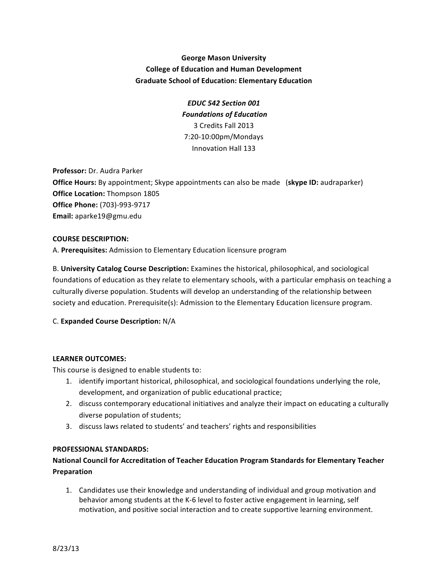## **George Mason University College of Education and Human Development Graduate School of Education: Elementary Education**

*EDUC 542 Section 001 Foundations of Education* 3 Credits Fall 2013 7:20-10:00pm/Mondays Innovation Hall 133

**Professor:** Dr. Audra Parker **Office Hours:** By appointment; Skype appointments can also be made (skype ID: audraparker) **Office Location:** Thompson 1805 **Office Phone:** (703)-993-9717 **Email:** aparke19@gmu.edu

#### **COURSE DESCRIPTION:**

A. Prerequisites: Admission to Elementary Education licensure program

B. University Catalog Course Description: Examines the historical, philosophical, and sociological foundations of education as they relate to elementary schools, with a particular emphasis on teaching a culturally diverse population. Students will develop an understanding of the relationship between society and education. Prerequisite(s): Admission to the Elementary Education licensure program.

## C. **Expanded Course Description:** N/A

#### **LEARNER OUTCOMES:**

This course is designed to enable students to:

- 1. identify important historical, philosophical, and sociological foundations underlying the role, development, and organization of public educational practice;
- 2. discuss contemporary educational initiatives and analyze their impact on educating a culturally diverse population of students;
- 3. discuss laws related to students' and teachers' rights and responsibilities

#### **PROFESSIONAL STANDARDS:**

## National Council for Accreditation of Teacher Education Program Standards for Elementary Teacher **Preparation**

1. Candidates use their knowledge and understanding of individual and group motivation and behavior among students at the K-6 level to foster active engagement in learning, self motivation, and positive social interaction and to create supportive learning environment.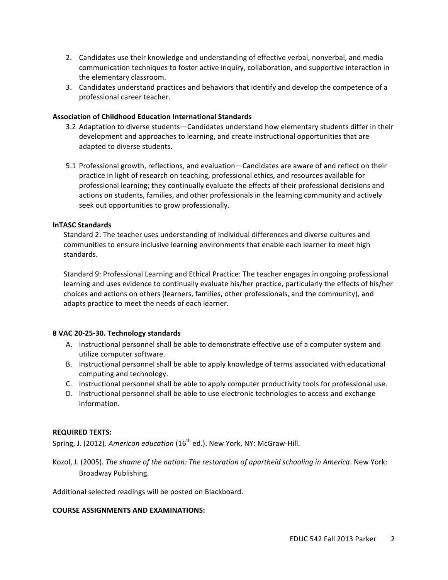- 2. Candidates use their knowledge and understanding of effective verbal, nonverbal, and media communication techniques to foster active inquiry, collaboration, and supportive interaction in the elementary classroom.
- 3. Candidates understand practices and behaviors that identify and develop the competence of a professional career teacher.

#### **Association of Childhood Education International Standards**

- 3.2 Adaptation to diverse students—Candidates understand how elementary students differ in their development and approaches to learning, and create instructional opportunities that are adapted to diverse students.
- 5.1 Professional growth, reflections, and evaluation—Candidates are aware of and reflect on their practice in light of research on teaching, professional ethics, and resources available for professional learning; they continually evaluate the effects of their professional decisions and actions on students, families, and other professionals in the learning community and actively seek out opportunities to grow professionally.

#### **InTASC Standards**

Standard 2: The teacher uses understanding of individual differences and diverse cultures and communities to ensure inclusive learning environments that enable each learner to meet high standards. 

Standard 9: Professional Learning and Ethical Practice: The teacher engages in ongoing professional learning and uses evidence to continually evaluate his/her practice, particularly the effects of his/her choices and actions on others (learners, families, other professionals, and the community), and adapts practice to meet the needs of each learner.

#### **8 VAC 20-25-30. Technology standards**

- A. Instructional personnel shall be able to demonstrate effective use of a computer system and utilize computer software.
- B. Instructional personnel shall be able to apply knowledge of terms associated with educational computing and technology.
- C. Instructional personnel shall be able to apply computer productivity tools for professional use.
- D. Instructional personnel shall be able to use electronic technologies to access and exchange information.

#### **REQUIRED TEXTS:**

Spring, J. (2012). American education (16<sup>th</sup> ed.). New York, NY: McGraw-Hill.

Kozol, J. (2005). The shame of the nation: The restoration of apartheid schooling in America. New York: Broadway Publishing.

Additional selected readings will be posted on Blackboard.

#### **COURSE ASSIGNMENTS AND EXAMINATIONS:**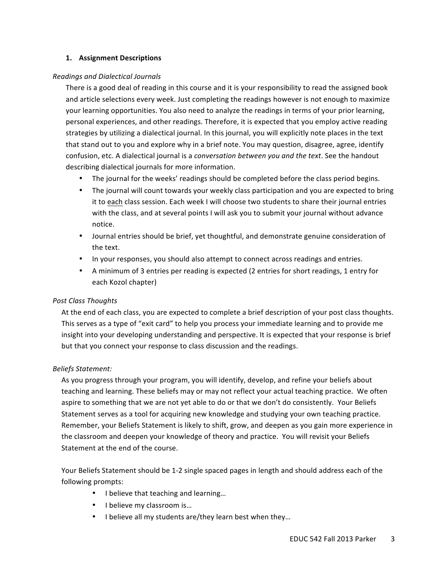#### **1. Assignment Descriptions**

### *Readings and Dialectical Journals*

There is a good deal of reading in this course and it is your responsibility to read the assigned book and article selections every week. Just completing the readings however is not enough to maximize your learning opportunities. You also need to analyze the readings in terms of your prior learning, personal experiences, and other readings. Therefore, it is expected that you employ active reading strategies by utilizing a dialectical journal. In this journal, you will explicitly note places in the text that stand out to you and explore why in a brief note. You may question, disagree, agree, identify confusion, etc. A dialectical journal is a *conversation between you and the text*. See the handout describing dialectical journals for more information.

- The journal for the weeks' readings should be completed before the class period begins.
- The journal will count towards your weekly class participation and you are expected to bring it to each class session. Each week I will choose two students to share their journal entries with the class, and at several points I will ask you to submit your journal without advance notice.
- Journal entries should be brief, yet thoughtful, and demonstrate genuine consideration of the text.
- In your responses, you should also attempt to connect across readings and entries.
- A minimum of 3 entries per reading is expected (2 entries for short readings, 1 entry for each Kozol chapter)

## *Post Class Thoughts*

At the end of each class, you are expected to complete a brief description of your post class thoughts. This serves as a type of "exit card" to help you process your immediate learning and to provide me insight into your developing understanding and perspective. It is expected that your response is brief but that you connect your response to class discussion and the readings.

#### *Beliefs Statement:*

As you progress through your program, you will identify, develop, and refine your beliefs about teaching and learning. These beliefs may or may not reflect your actual teaching practice. We often aspire to something that we are not yet able to do or that we don't do consistently. Your Beliefs Statement serves as a tool for acquiring new knowledge and studying your own teaching practice. Remember, your Beliefs Statement is likely to shift, grow, and deepen as you gain more experience in the classroom and deepen your knowledge of theory and practice. You will revisit your Beliefs Statement at the end of the course.

Your Beliefs Statement should be 1-2 single spaced pages in length and should address each of the following prompts:

- I believe that teaching and learning...
- I believe my classroom is...
- I believe all my students are/they learn best when they...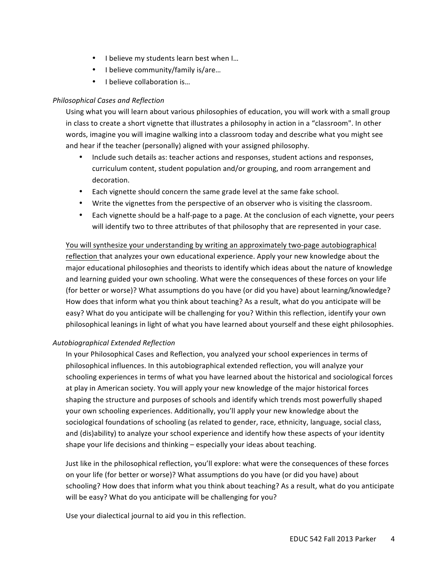- I believe my students learn best when I...
- I believe community/family is/are...
- I believe collaboration is...

## *Philosophical Cases and Reflection*

Using what you will learn about various philosophies of education, you will work with a small group in class to create a short vignette that illustrates a philosophy in action in a "classroom". In other words, imagine you will imagine walking into a classroom today and describe what you might see and hear if the teacher (personally) aligned with your assigned philosophy.

- Include such details as: teacher actions and responses, student actions and responses, curriculum content, student population and/or grouping, and room arrangement and decoration.
- Each vignette should concern the same grade level at the same fake school.
- Write the vignettes from the perspective of an observer who is visiting the classroom.
- Each vignette should be a half-page to a page. At the conclusion of each vignette, your peers will identify two to three attributes of that philosophy that are represented in your case.

You will synthesize your understanding by writing an approximately two-page autobiographical reflection that analyzes your own educational experience. Apply your new knowledge about the major educational philosophies and theorists to identify which ideas about the nature of knowledge and learning guided your own schooling. What were the consequences of these forces on your life (for better or worse)? What assumptions do you have (or did you have) about learning/knowledge? How does that inform what you think about teaching? As a result, what do you anticipate will be easy? What do you anticipate will be challenging for you? Within this reflection, identify your own philosophical leanings in light of what you have learned about yourself and these eight philosophies.

## *Autobiographical Extended Reflection*

In your Philosophical Cases and Reflection, you analyzed your school experiences in terms of philosophical influences. In this autobiographical extended reflection, you will analyze your schooling experiences in terms of what you have learned about the historical and sociological forces at play in American society. You will apply your new knowledge of the major historical forces shaping the structure and purposes of schools and identify which trends most powerfully shaped your own schooling experiences. Additionally, you'll apply your new knowledge about the sociological foundations of schooling (as related to gender, race, ethnicity, language, social class, and (dis)ability) to analyze your school experience and identify how these aspects of your identity shape your life decisions and thinking  $-$  especially your ideas about teaching.

Just like in the philosophical reflection, you'll explore: what were the consequences of these forces on your life (for better or worse)? What assumptions do you have (or did you have) about schooling? How does that inform what you think about teaching? As a result, what do you anticipate will be easy? What do you anticipate will be challenging for you?

Use your dialectical journal to aid you in this reflection.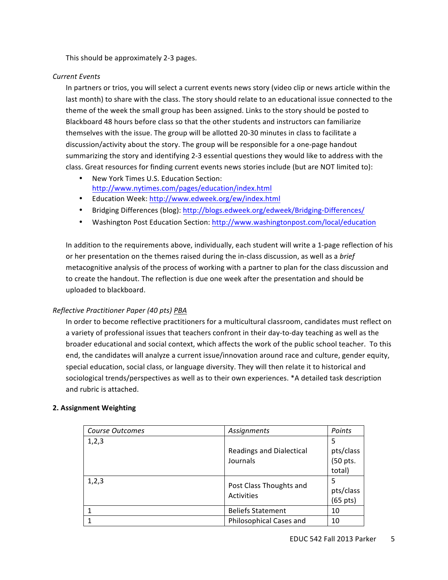This should be approximately 2-3 pages.

### *Current Events*

In partners or trios, you will select a current events news story (video clip or news article within the last month) to share with the class. The story should relate to an educational issue connected to the theme of the week the small group has been assigned. Links to the story should be posted to Blackboard 48 hours before class so that the other students and instructors can familiarize themselves with the issue. The group will be allotted 20-30 minutes in class to facilitate a discussion/activity about the story. The group will be responsible for a one-page handout summarizing the story and identifying 2-3 essential questions they would like to address with the class. Great resources for finding current events news stories include (but are NOT limited to):

- New York Times U.S. Education Section: http://www.nytimes.com/pages/education/index.html
- Education Week: http://www.edweek.org/ew/index.html
- Bridging Differences (blog): http://blogs.edweek.org/edweek/Bridging-Differences/
- Washington Post Education Section: http://www.washingtonpost.com/local/education

In addition to the requirements above, individually, each student will write a 1-page reflection of his or her presentation on the themes raised during the in-class discussion, as well as a *brief* metacognitive analysis of the process of working with a partner to plan for the class discussion and to create the handout. The reflection is due one week after the presentation and should be uploaded to blackboard.

## *Reflective Practitioner Paper (40 pts) PBA*

In order to become reflective practitioners for a multicultural classroom, candidates must reflect on a variety of professional issues that teachers confront in their day-to-day teaching as well as the broader educational and social context, which affects the work of the public school teacher. To this end, the candidates will analyze a current issue/innovation around race and culture, gender equity, special education, social class, or language diversity. They will then relate it to historical and sociological trends/perspectives as well as to their own experiences. \*A detailed task description and rubric is attached.

#### **2. Assignment Weighting**

| Course Outcomes         | Assignments                     | Points             |
|-------------------------|---------------------------------|--------------------|
| 1,2,3                   |                                 | 5                  |
|                         | <b>Readings and Dialectical</b> | pts/class          |
|                         | Journals                        | (50 pts.           |
|                         |                                 | total)             |
| 1,2,3                   |                                 |                    |
| Post Class Thoughts and | Activities                      | pts/class          |
|                         |                                 | $(65 \text{ pts})$ |
|                         | <b>Beliefs Statement</b>        | 10                 |
|                         | Philosophical Cases and         | 10                 |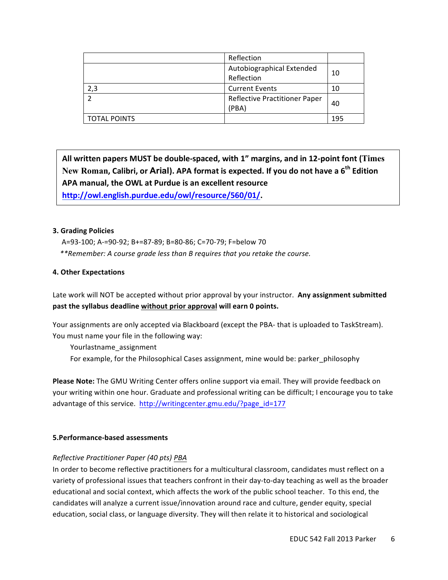|                     | Reflection                                    |     |
|---------------------|-----------------------------------------------|-----|
|                     | Autobiographical Extended<br>Reflection       | 10  |
| 2,3                 | <b>Current Events</b>                         | 10  |
|                     | <b>Reflective Practitioner Paper</b><br>(PBA) | 40  |
| <b>TOTAL POINTS</b> |                                               | 195 |

All written papers MUST be double-spaced, with 1" margins, and in 12-point font (Times New Roman, Calibri, or Arial). APA format is expected. If you do not have a 6<sup>th</sup> Edition APA manual, the OWL at Purdue is an excellent resource **http://owl.english.purdue.edu/owl/resource/560/01/.**

#### **3. Grading Policies**

A=93-100; A-=90-92; B+=87-89; B=80-86; C=70-79; F=below 70  *\*\*Remember: A course grade less than B requires that you retake the course.*

## **4. Other Expectations**

Late work will NOT be accepted without prior approval by your instructor. Any assignment submitted past the syllabus deadline without prior approval will earn 0 points.

Your assignments are only accepted via Blackboard (except the PBA- that is uploaded to TaskStream). You must name your file in the following way:

Yourlastname\_assignment

For example, for the Philosophical Cases assignment, mine would be: parker\_philosophy

**Please Note:** The GMU Writing Center offers online support via email. They will provide feedback on your writing within one hour. Graduate and professional writing can be difficult; I encourage you to take advantage of this service. http://writingcenter.gmu.edu/?page\_id=177

#### **5.Performance-based assessments**

## *Reflective Practitioner Paper (40 pts) PBA*

In order to become reflective practitioners for a multicultural classroom, candidates must reflect on a variety of professional issues that teachers confront in their day-to-day teaching as well as the broader educational and social context, which affects the work of the public school teacher. To this end, the candidates will analyze a current issue/innovation around race and culture, gender equity, special education, social class, or language diversity. They will then relate it to historical and sociological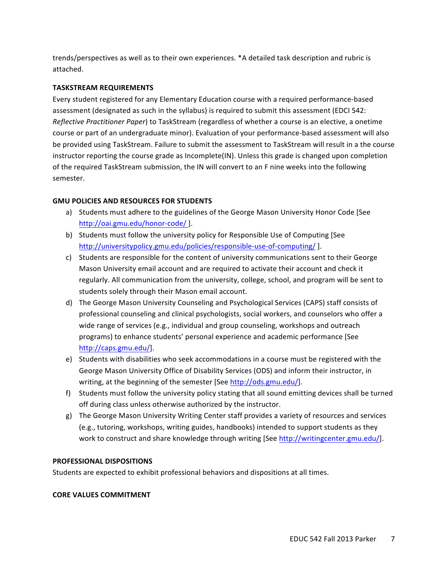trends/perspectives as well as to their own experiences. \*A detailed task description and rubric is attached. 

### **TASKSTREAM REQUIREMENTS**

Every student registered for any Elementary Education course with a required performance-based assessment (designated as such in the syllabus) is required to submit this assessment (EDCI 542: *Reflective Practitioner Paper*) to TaskStream (regardless of whether a course is an elective, a onetime course or part of an undergraduate minor). Evaluation of your performance-based assessment will also be provided using TaskStream. Failure to submit the assessment to TaskStream will result in a the course instructor reporting the course grade as Incomplete(IN). Unless this grade is changed upon completion of the required TaskStream submission, the IN will convert to an F nine weeks into the following semester.

## **GMU POLICIES AND RESOURCES FOR STUDENTS**

- a) Students must adhere to the guidelines of the George Mason University Honor Code [See http://oai.gmu.edu/honor-code/ ].
- b) Students must follow the university policy for Responsible Use of Computing [See http://universitypolicy.gmu.edu/policies/responsible-use-of-computing/ ].
- c) Students are responsible for the content of university communications sent to their George Mason University email account and are required to activate their account and check it regularly. All communication from the university, college, school, and program will be sent to students solely through their Mason email account.
- d) The George Mason University Counseling and Psychological Services (CAPS) staff consists of professional counseling and clinical psychologists, social workers, and counselors who offer a wide range of services (e.g., individual and group counseling, workshops and outreach programs) to enhance students' personal experience and academic performance [See http://caps.gmu.edu/].
- e) Students with disabilities who seek accommodations in a course must be registered with the George Mason University Office of Disability Services (ODS) and inform their instructor, in writing, at the beginning of the semester [See http://ods.gmu.edu/].
- f) Students must follow the university policy stating that all sound emitting devices shall be turned off during class unless otherwise authorized by the instructor.
- g) The George Mason University Writing Center staff provides a variety of resources and services (e.g., tutoring, workshops, writing guides, handbooks) intended to support students as they work to construct and share knowledge through writing [See http://writingcenter.gmu.edu/].

#### **PROFESSIONAL DISPOSITIONS**

Students are expected to exhibit professional behaviors and dispositions at all times.

#### **CORE VALUES COMMITMENT**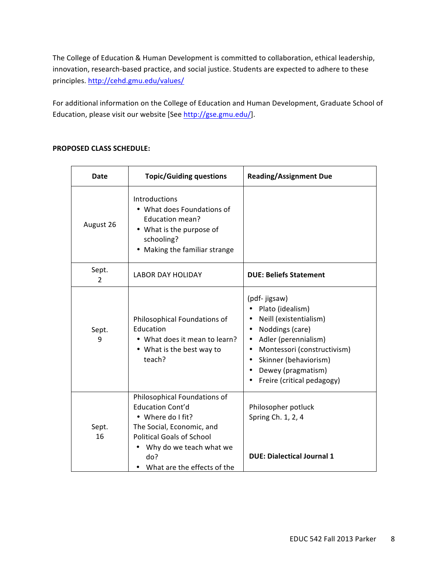The College of Education & Human Development is committed to collaboration, ethical leadership, innovation, research-based practice, and social justice. Students are expected to adhere to these principles. http://cehd.gmu.edu/values/

For additional information on the College of Education and Human Development, Graduate School of Education, please visit our website [See http://gse.gmu.edu/].

| <b>Date</b>             | <b>Topic/Guiding questions</b>                                                                                                                                                                                 | <b>Reading/Assignment Due</b>                                                                                                                                                                                      |
|-------------------------|----------------------------------------------------------------------------------------------------------------------------------------------------------------------------------------------------------------|--------------------------------------------------------------------------------------------------------------------------------------------------------------------------------------------------------------------|
| August 26               | Introductions<br>• What does Foundations of<br>Education mean?<br>• What is the purpose of<br>schooling?<br>Making the familiar strange                                                                        |                                                                                                                                                                                                                    |
| Sept.<br>$\overline{2}$ | <b>LABOR DAY HOLIDAY</b>                                                                                                                                                                                       | <b>DUE: Beliefs Statement</b>                                                                                                                                                                                      |
| Sept.<br>9              | Philosophical Foundations of<br>Education<br>• What does it mean to learn?<br>• What is the best way to<br>teach?                                                                                              | (pdf- jigsaw)<br>Plato (idealism)<br>Neill (existentialism)<br>Noddings (care)<br>Adler (perennialism)<br>Montessori (constructivism)<br>Skinner (behaviorism)<br>Dewey (pragmatism)<br>Freire (critical pedagogy) |
| Sept.<br>16             | Philosophical Foundations of<br><b>Education Cont'd</b><br>• Where do I fit?<br>The Social, Economic, and<br><b>Political Goals of School</b><br>Why do we teach what we<br>do?<br>What are the effects of the | Philosopher potluck<br>Spring Ch. 1, 2, 4<br><b>DUE: Dialectical Journal 1</b>                                                                                                                                     |

### **PROPOSED CLASS SCHEDULE:**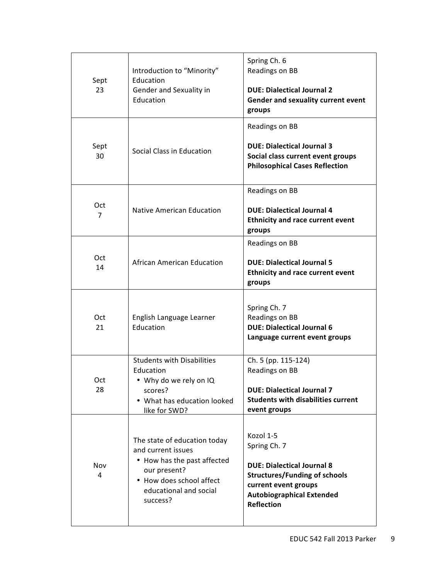| Sept<br>23      | Introduction to "Minority"<br>Education<br>Gender and Sexuality in<br>Education                                                                                     | Spring Ch. 6<br>Readings on BB<br><b>DUE: Dialectical Journal 2</b><br>Gender and sexuality current event<br>groups                                                                     |
|-----------------|---------------------------------------------------------------------------------------------------------------------------------------------------------------------|-----------------------------------------------------------------------------------------------------------------------------------------------------------------------------------------|
| Sept<br>30      | Social Class in Education                                                                                                                                           | Readings on BB<br><b>DUE: Dialectical Journal 3</b><br>Social class current event groups<br><b>Philosophical Cases Reflection</b>                                                       |
| <b>Oct</b><br>7 | <b>Native American Education</b>                                                                                                                                    | Readings on BB<br><b>DUE: Dialectical Journal 4</b><br><b>Ethnicity and race current event</b><br>groups                                                                                |
| Oct<br>14       | <b>African American Education</b>                                                                                                                                   | Readings on BB<br><b>DUE: Dialectical Journal 5</b><br><b>Ethnicity and race current event</b><br>groups                                                                                |
| Oct<br>21       | English Language Learner<br>Education                                                                                                                               | Spring Ch. 7<br>Readings on BB<br><b>DUE: Dialectical Journal 6</b><br>Language current event groups                                                                                    |
| Oct<br>28       | <b>Students with Disabilities</b><br>Education<br>• Why do we rely on IQ<br>scores?<br>• What has education looked<br>like for SWD?                                 | Ch. 5 (pp. 115-124)<br>Readings on BB<br><b>DUE: Dialectical Journal 7</b><br><b>Students with disabilities current</b><br>event groups                                                 |
| Nov<br>4        | The state of education today<br>and current issues<br>• How has the past affected<br>our present?<br>• How does school affect<br>educational and social<br>success? | Kozol 1-5<br>Spring Ch. 7<br><b>DUE: Dialectical Journal 8</b><br><b>Structures/Funding of schools</b><br>current event groups<br><b>Autobiographical Extended</b><br><b>Reflection</b> |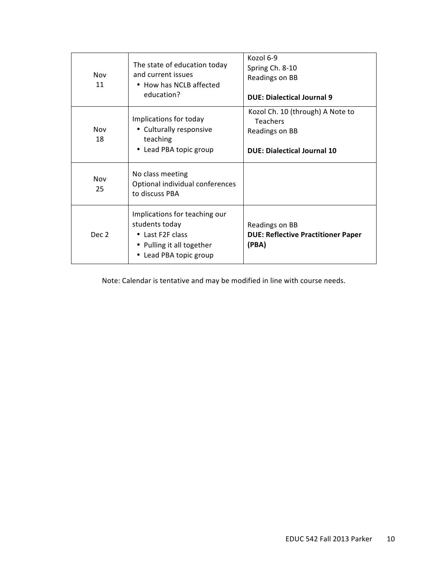| Nov<br>11        | The state of education today<br>and current issues<br>• How has NCLB affected<br>education?                                | Kozol 6-9<br>Spring Ch. 8-10<br>Readings on BB<br><b>DUE: Dialectical Journal 9</b>                         |
|------------------|----------------------------------------------------------------------------------------------------------------------------|-------------------------------------------------------------------------------------------------------------|
| Nov<br>18        | Implications for today<br>• Culturally responsive<br>teaching<br>• Lead PBA topic group                                    | Kozol Ch. 10 (through) A Note to<br><b>Teachers</b><br>Readings on BB<br><b>DUE: Dialectical Journal 10</b> |
| Nov<br>25        | No class meeting<br>Optional individual conferences<br>to discuss PBA                                                      |                                                                                                             |
| Dec <sub>2</sub> | Implications for teaching our<br>students today<br>• Last F2F class<br>• Pulling it all together<br>• Lead PBA topic group | Readings on BB<br><b>DUE: Reflective Practitioner Paper</b><br>(PBA)                                        |

Note: Calendar is tentative and may be modified in line with course needs.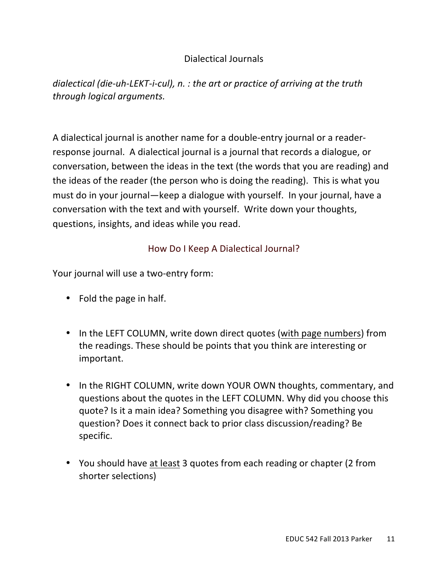## Dialectical Journals

*dialectical (die-uh-LEKT-i-cul), n. : the art or practice of arriving at the truth through logical arguments.* 

A dialectical journal is another name for a double-entry journal or a readerresponse journal. A dialectical journal is a journal that records a dialogue, or conversation, between the ideas in the text (the words that you are reading) and the ideas of the reader (the person who is doing the reading). This is what you must do in your journal—keep a dialogue with yourself. In your journal, have a conversation with the text and with yourself. Write down your thoughts, questions, insights, and ideas while you read.

# How Do I Keep A Dialectical Journal?

Your journal will use a two-entry form:

- $\bullet$  Fold the page in half.
- In the LEFT COLUMN, write down direct quotes (with page numbers) from the readings. These should be points that you think are interesting or important.
- In the RIGHT COLUMN, write down YOUR OWN thoughts, commentary, and questions about the quotes in the LEFT COLUMN. Why did you choose this quote? Is it a main idea? Something you disagree with? Something you question? Does it connect back to prior class discussion/reading? Be specific.
- You should have at least 3 quotes from each reading or chapter (2 from shorter selections)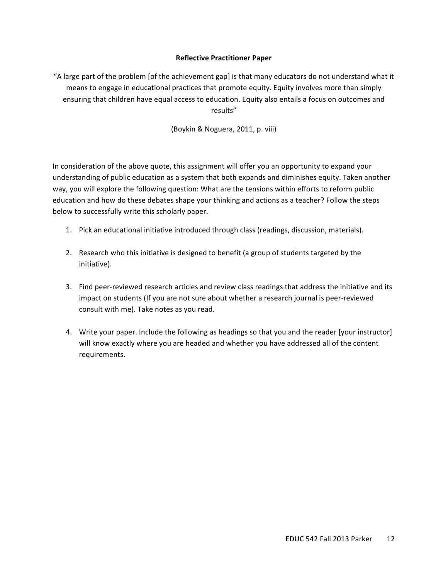#### **Reflective Practitioner Paper**

"A large part of the problem [of the achievement gap] is that many educators do not understand what it means to engage in educational practices that promote equity. Equity involves more than simply ensuring that children have equal access to education. Equity also entails a focus on outcomes and results" 

(Boykin & Noguera, 2011, p. viii)

In consideration of the above quote, this assignment will offer you an opportunity to expand your understanding of public education as a system that both expands and diminishes equity. Taken another way, you will explore the following question: What are the tensions within efforts to reform public education and how do these debates shape your thinking and actions as a teacher? Follow the steps below to successfully write this scholarly paper.

- 1. Pick an educational initiative introduced through class (readings, discussion, materials).
- 2. Research who this initiative is designed to benefit (a group of students targeted by the initiative).
- 3. Find peer-reviewed research articles and review class readings that address the initiative and its impact on students (If you are not sure about whether a research journal is peer-reviewed consult with me). Take notes as you read.
- 4. Write your paper. Include the following as headings so that you and the reader [your instructor] will know exactly where you are headed and whether you have addressed all of the content requirements.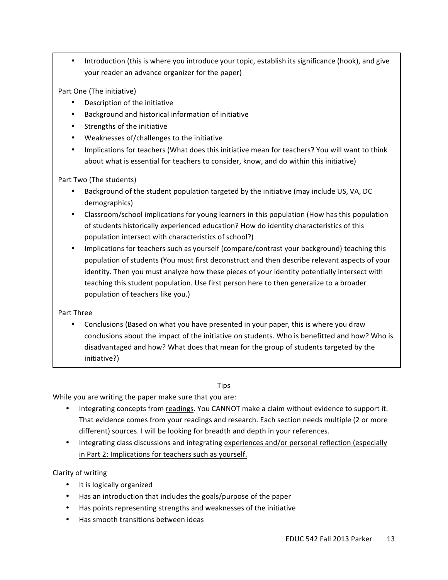Introduction (this is where you introduce your topic, establish its significance (hook), and give your reader an advance organizer for the paper)

Part One (The initiative)

- Description of the initiative
- Background and historical information of initiative
- Strengths of the initiative
- Weaknesses of/challenges to the initiative
- Implications for teachers (What does this initiative mean for teachers? You will want to think about what is essential for teachers to consider, know, and do within this initiative)

Part Two (The students)

- Background of the student population targeted by the initiative (may include US, VA, DC demographics)
- Classroom/school implications for young learners in this population (How has this population of students historically experienced education? How do identity characteristics of this population intersect with characteristics of school?)
- Implications for teachers such as yourself (compare/contrast your background) teaching this population of students (You must first deconstruct and then describe relevant aspects of your identity. Then you must analyze how these pieces of your identity potentially intersect with teaching this student population. Use first person here to then generalize to a broader population of teachers like you.)

Part Three

Conclusions (Based on what you have presented in your paper, this is where you draw conclusions about the impact of the initiative on students. Who is benefitted and how? Who is disadvantaged and how? What does that mean for the group of students targeted by the initiative?) 

## Tips

While you are writing the paper make sure that you are:

- Integrating concepts from readings. You CANNOT make a claim without evidence to support it. That evidence comes from your readings and research. Each section needs multiple (2 or more different) sources. I will be looking for breadth and depth in your references.
- Integrating class discussions and integrating experiences and/or personal reflection (especially in Part 2: Implications for teachers such as yourself.

Clarity of writing

- It is logically organized
- Has an introduction that includes the goals/purpose of the paper
- Has points representing strengths and weaknesses of the initiative
- Has smooth transitions between ideas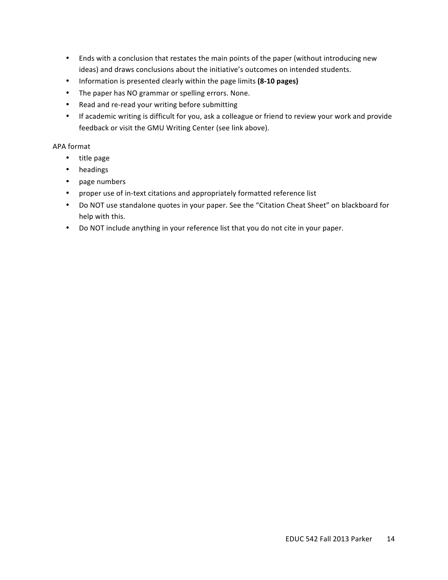- Ends with a conclusion that restates the main points of the paper (without introducing new ideas) and draws conclusions about the initiative's outcomes on intended students.
- Information is presented clearly within the page limits (8-10 pages)
- The paper has NO grammar or spelling errors. None.
- Read and re-read your writing before submitting
- If academic writing is difficult for you, ask a colleague or friend to review your work and provide feedback or visit the GMU Writing Center (see link above).

### APA format

- title page
- headings
- page numbers
- proper use of in-text citations and appropriately formatted reference list
- Do NOT use standalone quotes in your paper. See the "Citation Cheat Sheet" on blackboard for help with this.
- Do NOT include anything in your reference list that you do not cite in your paper.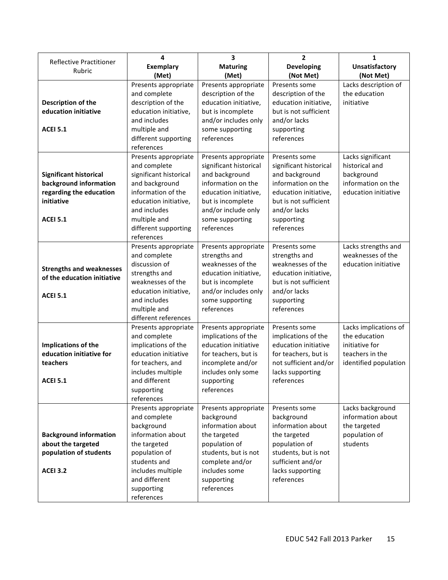|                                          | 4                                     | 3                                      | $\overline{2}$                                 | 1                     |
|------------------------------------------|---------------------------------------|----------------------------------------|------------------------------------------------|-----------------------|
| <b>Reflective Practitioner</b><br>Rubric | <b>Exemplary</b>                      | <b>Maturing</b>                        | <b>Developing</b>                              | <b>Unsatisfactory</b> |
|                                          | (Met)                                 | (Met)                                  | (Not Met)                                      | (Not Met)             |
|                                          | Presents appropriate                  | Presents appropriate                   | Presents some                                  | Lacks description of  |
|                                          | and complete                          | description of the                     | description of the                             | the education         |
| Description of the                       | description of the                    | education initiative,                  | education initiative,                          | initiative            |
| education initiative                     | education initiative,                 | but is incomplete                      | but is not sufficient                          |                       |
|                                          | and includes                          | and/or includes only                   | and/or lacks                                   |                       |
| <b>ACEI 5.1</b>                          | multiple and                          | some supporting                        | supporting                                     |                       |
|                                          | different supporting                  | references                             | references                                     |                       |
|                                          | references                            |                                        |                                                |                       |
|                                          | Presents appropriate                  | Presents appropriate                   | Presents some                                  | Lacks significant     |
|                                          | and complete                          | significant historical                 | significant historical                         | historical and        |
| <b>Significant historical</b>            | significant historical                | and background                         | and background                                 | background            |
| background information                   | and background                        | information on the                     | information on the                             | information on the    |
| regarding the education                  | information of the                    | education initiative,                  | education initiative,<br>but is not sufficient | education initiative  |
| initiative                               | education initiative,<br>and includes | but is incomplete                      |                                                |                       |
| <b>ACEI 5.1</b>                          |                                       | and/or include only<br>some supporting | and/or lacks                                   |                       |
|                                          | multiple and<br>different supporting  | references                             | supporting<br>references                       |                       |
|                                          | references                            |                                        |                                                |                       |
|                                          | Presents appropriate                  | Presents appropriate                   | Presents some                                  | Lacks strengths and   |
|                                          | and complete                          | strengths and                          | strengths and                                  | weaknesses of the     |
|                                          | discussion of                         | weaknesses of the                      | weaknesses of the                              | education initiative  |
| <b>Strengths and weaknesses</b>          | strengths and                         | education initiative,                  | education initiative,                          |                       |
| of the education initiative              | weaknesses of the                     | but is incomplete                      | but is not sufficient                          |                       |
|                                          | education initiative,                 | and/or includes only                   | and/or lacks                                   |                       |
| <b>ACEI 5.1</b>                          | and includes                          | some supporting                        | supporting                                     |                       |
|                                          | multiple and                          | references                             | references                                     |                       |
|                                          | different references                  |                                        |                                                |                       |
|                                          | Presents appropriate                  | Presents appropriate                   | Presents some                                  | Lacks implications of |
|                                          | and complete                          | implications of the                    | implications of the                            | the education         |
| Implications of the                      | implications of the                   | education initiative                   | education initiative                           | initiative for        |
| education initiative for                 | education initiative                  | for teachers, but is                   | for teachers, but is                           | teachers in the       |
| teachers                                 | for teachers, and                     | incomplete and/or                      | not sufficient and/or                          | identified population |
|                                          | includes multiple                     | includes only some                     | lacks supporting                               |                       |
| <b>ACEI 5.1</b>                          | and different                         | supporting                             | references                                     |                       |
|                                          | supporting<br>references              | references                             |                                                |                       |
|                                          | Presents appropriate                  | Presents appropriate                   | Presents some                                  | Lacks background      |
|                                          | and complete                          | background                             | background                                     | information about     |
|                                          | background                            | information about                      | information about                              | the targeted          |
| <b>Background information</b>            | information about                     | the targeted                           | the targeted                                   | population of         |
| about the targeted                       | the targeted                          | population of                          | population of                                  | students              |
| population of students                   | population of                         | students, but is not                   | students, but is not                           |                       |
|                                          | students and                          | complete and/or                        | sufficient and/or                              |                       |
| <b>ACEI 3.2</b>                          | includes multiple                     | includes some                          | lacks supporting                               |                       |
|                                          | and different                         | supporting                             | references                                     |                       |
|                                          | supporting                            | references                             |                                                |                       |
|                                          | references                            |                                        |                                                |                       |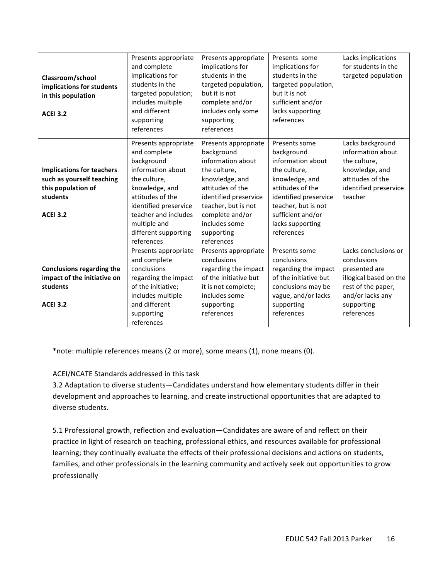|                                  | Presents appropriate                 | Presents appropriate               | Presents some                      | Lacks implications                    |
|----------------------------------|--------------------------------------|------------------------------------|------------------------------------|---------------------------------------|
|                                  | and complete                         | implications for                   | implications for                   | for students in the                   |
| Classroom/school                 | implications for                     | students in the                    | students in the                    | targeted population                   |
| implications for students        | students in the                      | targeted population,               | targeted population,               |                                       |
| in this population               | targeted population;                 | but it is not                      | but it is not                      |                                       |
|                                  | includes multiple                    | complete and/or                    | sufficient and/or                  |                                       |
| <b>ACEI 3.2</b>                  | and different                        | includes only some                 | lacks supporting                   |                                       |
|                                  | supporting                           | supporting                         | references                         |                                       |
|                                  | references                           | references                         |                                    |                                       |
|                                  |                                      |                                    |                                    |                                       |
|                                  | Presents appropriate<br>and complete | Presents appropriate<br>background | Presents some<br>background        | Lacks background<br>information about |
|                                  | background                           | information about                  | information about                  | the culture,                          |
|                                  | information about                    |                                    |                                    |                                       |
| <b>Implications for teachers</b> | the culture,                         | the culture,                       | the culture,                       | knowledge, and<br>attitudes of the    |
| such as yourself teaching        |                                      | knowledge, and                     | knowledge, and<br>attitudes of the |                                       |
| this population of               | knowledge, and                       | attitudes of the                   |                                    | identified preservice                 |
| students                         | attitudes of the                     | identified preservice              | identified preservice              | teacher                               |
|                                  | identified preservice                | teacher, but is not                | teacher, but is not                |                                       |
| <b>ACEI 3.2</b>                  | teacher and includes                 | complete and/or                    | sufficient and/or                  |                                       |
|                                  | multiple and                         | includes some                      | lacks supporting                   |                                       |
|                                  | different supporting                 | supporting                         | references                         |                                       |
|                                  | references                           | references                         |                                    |                                       |
|                                  | Presents appropriate                 | Presents appropriate               | Presents some                      | Lacks conclusions or                  |
|                                  | and complete                         | conclusions                        | conclusions                        | conclusions                           |
| <b>Conclusions regarding the</b> | conclusions                          | regarding the impact               | regarding the impact               | presented are                         |
| impact of the initiative on      | regarding the impact                 | of the initiative but              | of the initiative but              | illogical based on the                |
| students                         | of the initiative;                   | it is not complete;                | conclusions may be                 | rest of the paper,                    |
|                                  | includes multiple                    | includes some                      | vague, and/or lacks                | and/or lacks any                      |
| <b>ACEI 3.2</b>                  | and different                        | supporting                         | supporting                         | supporting                            |
|                                  | supporting                           | references                         | references                         | references                            |
|                                  | references                           |                                    |                                    |                                       |

\*note: multiple references means (2 or more), some means (1), none means (0).

## ACEI/NCATE Standards addressed in this task

3.2 Adaptation to diverse students—Candidates understand how elementary students differ in their development and approaches to learning, and create instructional opportunities that are adapted to diverse students.

5.1 Professional growth, reflection and evaluation—Candidates are aware of and reflect on their practice in light of research on teaching, professional ethics, and resources available for professional learning; they continually evaluate the effects of their professional decisions and actions on students, families, and other professionals in the learning community and actively seek out opportunities to grow professionally